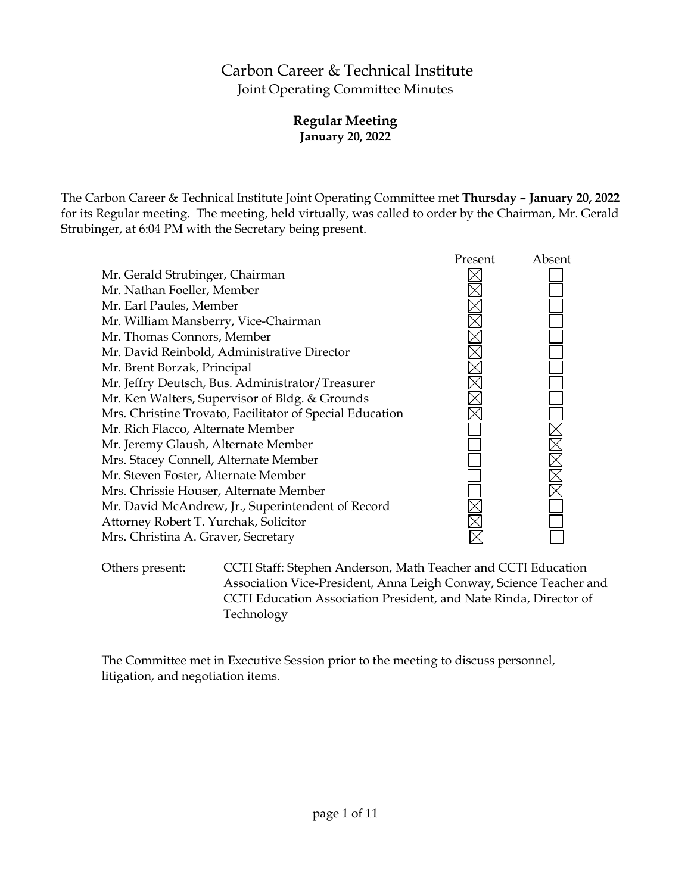# Carbon Career & Technical Institute Joint Operating Committee Minutes

# **Regular Meeting January 20, 2022**

The Carbon Career & Technical Institute Joint Operating Committee met **Thursday – January 20, 2022** for its Regular meeting. The meeting, held virtually, was called to order by the Chairman, Mr. Gerald Strubinger, at 6:04 PM with the Secretary being present.



Others present: CCTI Staff: Stephen Anderson, Math Teacher and CCTI Education Association Vice-President, Anna Leigh Conway, Science Teacher and CCTI Education Association President, and Nate Rinda, Director of Technology

The Committee met in Executive Session prior to the meeting to discuss personnel, litigation, and negotiation items.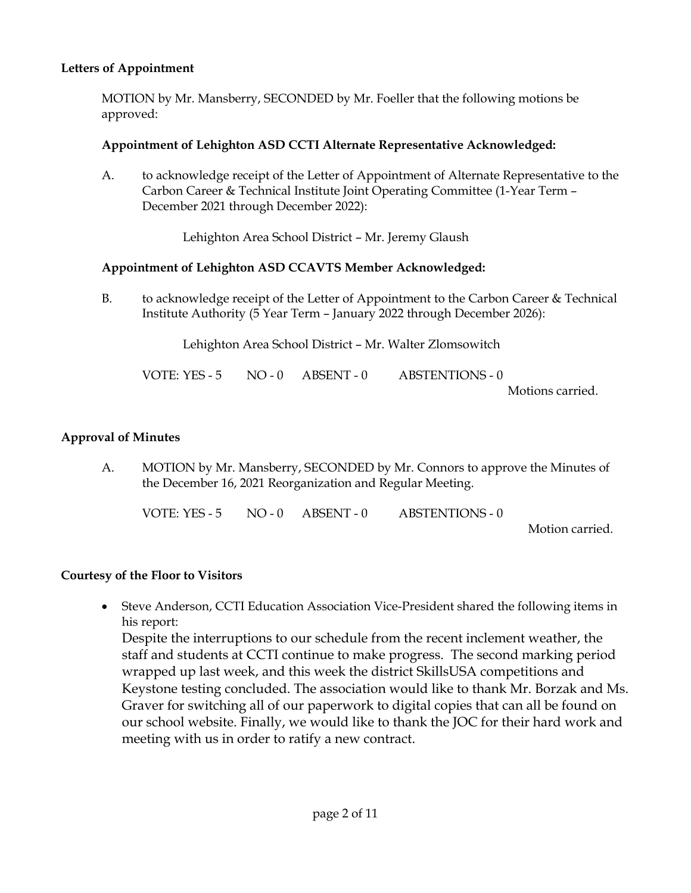# **Letters of Appointment**

MOTION by Mr. Mansberry, SECONDED by Mr. Foeller that the following motions be approved:

### **Appointment of Lehighton ASD CCTI Alternate Representative Acknowledged:**

A. to acknowledge receipt of the Letter of Appointment of Alternate Representative to the Carbon Career & Technical Institute Joint Operating Committee (1-Year Term – December 2021 through December 2022):

Lehighton Area School District – Mr. Jeremy Glaush

#### **Appointment of Lehighton ASD CCAVTS Member Acknowledged:**

B. to acknowledge receipt of the Letter of Appointment to the Carbon Career & Technical Institute Authority (5 Year Term – January 2022 through December 2026):

Lehighton Area School District – Mr. Walter Zlomsowitch

| VOTE: YES - 5 | $NO - 0$ $ABSENT - 0$ | ABSTENTIONS - 0  |
|---------------|-----------------------|------------------|
|               |                       | Motions carried. |

#### **Approval of Minutes**

A. MOTION by Mr. Mansberry, SECONDED by Mr. Connors to approve the Minutes of the December 16, 2021 Reorganization and Regular Meeting.

| VOTE: YES - 5 | $NO-0$ $ABSENT-0$ | ABSTENTIONS - 0 |  |
|---------------|-------------------|-----------------|--|
|               |                   |                 |  |

Motion carried.

#### **Courtesy of the Floor to Visitors**

 Steve Anderson, CCTI Education Association Vice-President shared the following items in his report:

Despite the interruptions to our schedule from the recent inclement weather, the staff and students at CCTI continue to make progress. The second marking period wrapped up last week, and this week the district SkillsUSA competitions and Keystone testing concluded. The association would like to thank Mr. Borzak and Ms. Graver for switching all of our paperwork to digital copies that can all be found on our school website. Finally, we would like to thank the JOC for their hard work and meeting with us in order to ratify a new contract.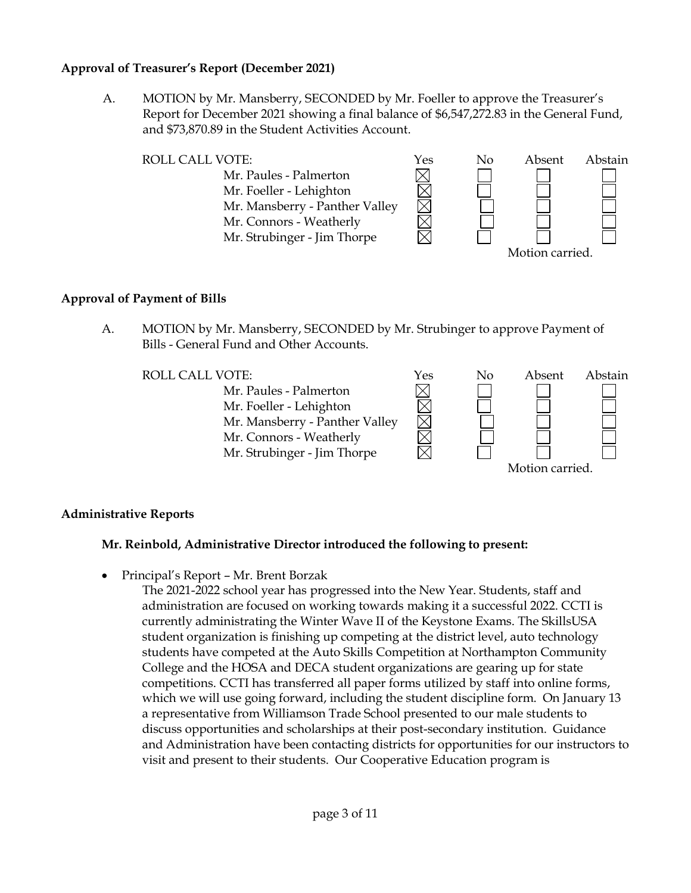# **Approval of Treasurer's Report (December 2021)**

A. MOTION by Mr. Mansberry, SECONDED by Mr. Foeller to approve the Treasurer's Report for December 2021 showing a final balance of \$6,547,272.83 in the General Fund, and \$73,870.89 in the Student Activities Account.



### **Approval of Payment of Bills**

A. MOTION by Mr. Mansberry, SECONDED by Mr. Strubinger to approve Payment of Bills - General Fund and Other Accounts.

Mr. Paules - Palmerton Mr. Foeller - Lehighton Mr. Mansberry - Panther Valley Mr. Connors - Weatherly Mr. Strubinger - Jim Thorpe



# **Administrative Reports**

# **Mr. Reinbold, Administrative Director introduced the following to present:**

Principal's Report – Mr. Brent Borzak

The 2021-2022 school year has progressed into the New Year. Students, staff and administration are focused on working towards making it a successful 2022. CCTI is currently administrating the Winter Wave II of the Keystone Exams. The SkillsUSA student organization is finishing up competing at the district level, auto technology students have competed at the Auto Skills Competition at Northampton Community College and the HOSA and DECA student organizations are gearing up for state competitions. CCTI has transferred all paper forms utilized by staff into online forms, which we will use going forward, including the student discipline form. On January 13 a representative from Williamson Trade School presented to our male students to discuss opportunities and scholarships at their post-secondary institution. Guidance and Administration have been contacting districts for opportunities for our instructors to visit and present to their students. Our Cooperative Education program is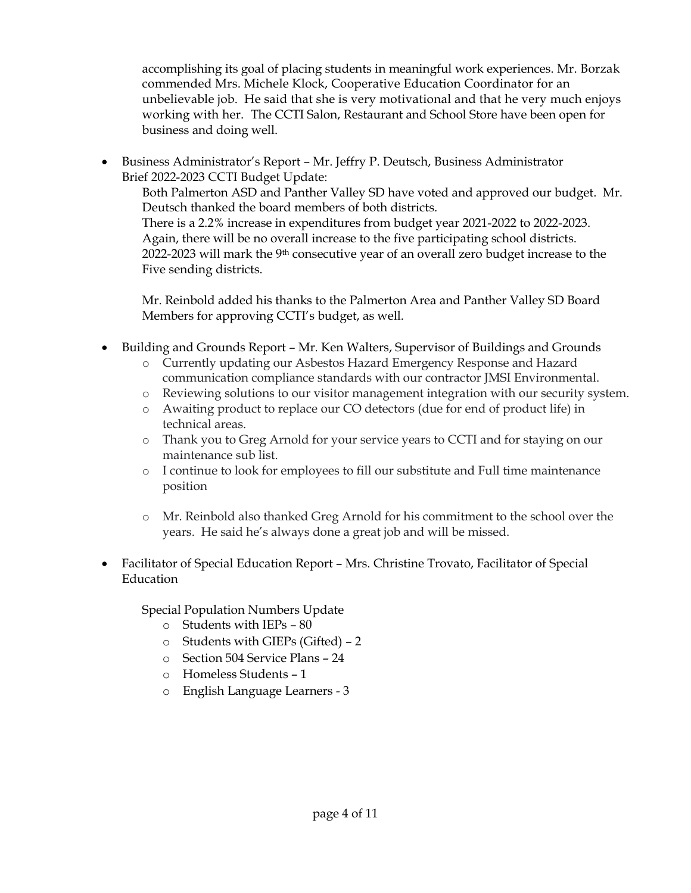accomplishing its goal of placing students in meaningful work experiences. Mr. Borzak commended Mrs. Michele Klock, Cooperative Education Coordinator for an unbelievable job. He said that she is very motivational and that he very much enjoys working with her. The CCTI Salon, Restaurant and School Store have been open for business and doing well.

 Business Administrator's Report – Mr. Jeffry P. Deutsch, Business Administrator Brief 2022-2023 CCTI Budget Update:

Both Palmerton ASD and Panther Valley SD have voted and approved our budget. Mr. Deutsch thanked the board members of both districts. There is a 2.2% increase in expenditures from budget year 2021-2022 to 2022-2023. Again, there will be no overall increase to the five participating school districts. 2022-2023 will mark the 9<sup>th</sup> consecutive year of an overall zero budget increase to the Five sending districts.

Mr. Reinbold added his thanks to the Palmerton Area and Panther Valley SD Board Members for approving CCTI's budget, as well.

- Building and Grounds Report Mr. Ken Walters, Supervisor of Buildings and Grounds
	- o Currently updating our Asbestos Hazard Emergency Response and Hazard communication compliance standards with our contractor JMSI Environmental.
	- o Reviewing solutions to our visitor management integration with our security system.
	- o Awaiting product to replace our CO detectors (due for end of product life) in technical areas.
	- o Thank you to Greg Arnold for your service years to CCTI and for staying on our maintenance sub list.
	- o I continue to look for employees to fill our substitute and Full time maintenance position
	- o Mr. Reinbold also thanked Greg Arnold for his commitment to the school over the years. He said he's always done a great job and will be missed.
- Facilitator of Special Education Report Mrs. Christine Trovato, Facilitator of Special Education

Special Population Numbers Update

- o Students with IEPs 80
- o Students with GIEPs (Gifted) 2
- o Section 504 Service Plans 24
- o Homeless Students 1
- o English Language Learners 3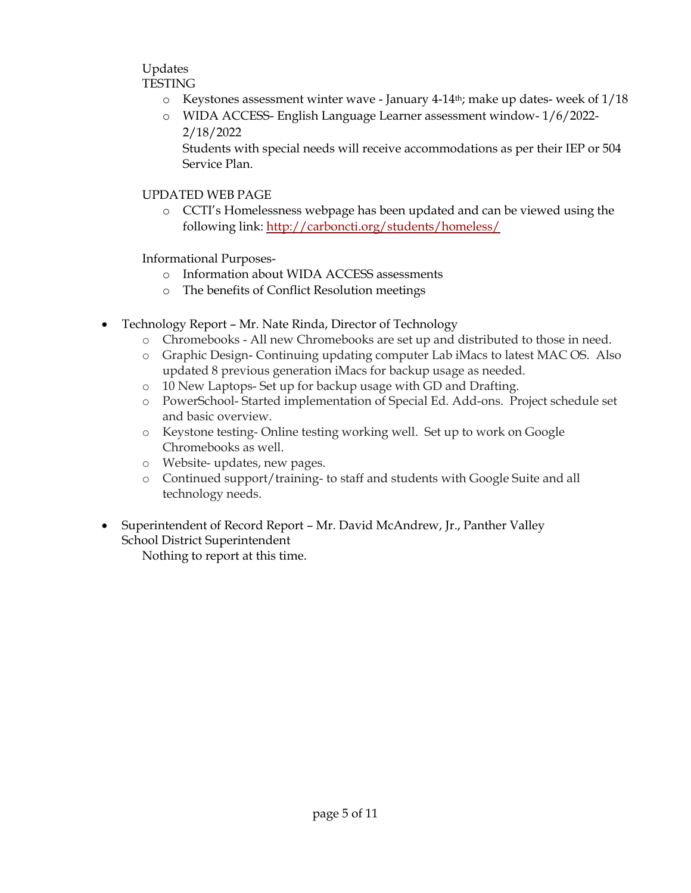#### Updates TESTING

- $\circ$  Keystones assessment winter wave January 4-14<sup>th</sup>; make up dates- week of 1/18
- o WIDA ACCESS- English Language Learner assessment window- 1/6/2022- 2/18/2022

Students with special needs will receive accommodations as per their IEP or 504 Service Plan.

# UPDATED WEB PAGE

o CCTI's Homelessness webpage has been updated and can be viewed using the following link:<http://carboncti.org/students/homeless/>

Informational Purposes-

- o Information about WIDA ACCESS assessments
- o The benefits of Conflict Resolution meetings
- Technology Report Mr. Nate Rinda, Director of Technology
	- o Chromebooks All new Chromebooks are set up and distributed to those in need.
	- o Graphic Design- Continuing updating computer Lab iMacs to latest MAC OS. Also updated 8 previous generation iMacs for backup usage as needed.
	- o 10 New Laptops- Set up for backup usage with GD and Drafting.
	- o PowerSchool- Started implementation of Special Ed. Add-ons. Project schedule set and basic overview.
	- o Keystone testing- Online testing working well. Set up to work on Google Chromebooks as well.
	- o Website- updates, new pages.
	- o Continued support/training- to staff and students with Google Suite and all technology needs.
- Superintendent of Record Report Mr. David McAndrew, Jr., Panther Valley School District Superintendent

Nothing to report at this time.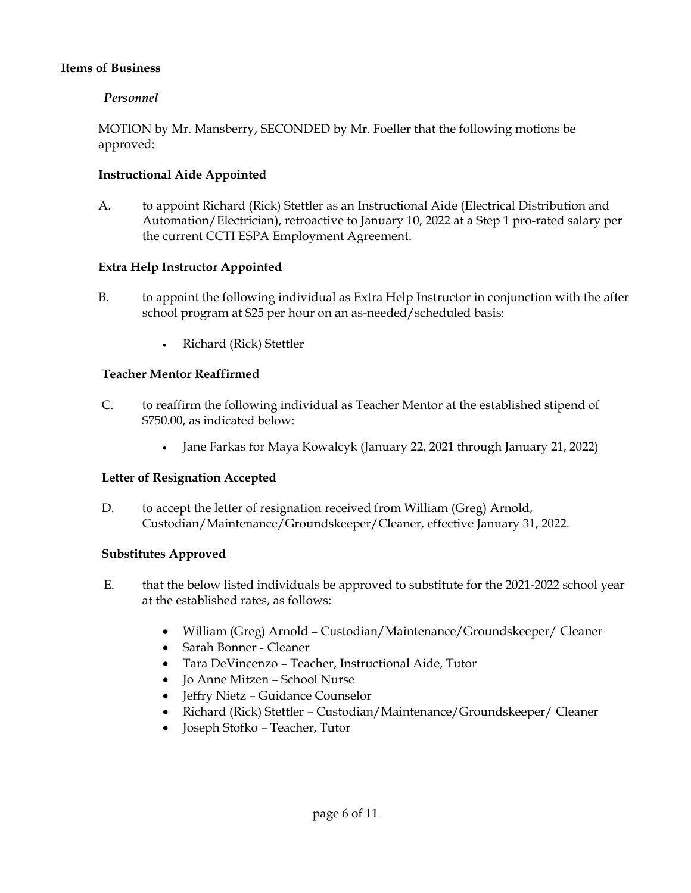### **Items of Business**

### *Personnel*

MOTION by Mr. Mansberry, SECONDED by Mr. Foeller that the following motions be approved:

### **Instructional Aide Appointed**

A. to appoint Richard (Rick) Stettler as an Instructional Aide (Electrical Distribution and Automation/Electrician), retroactive to January 10, 2022 at a Step 1 pro-rated salary per the current CCTI ESPA Employment Agreement.

### **Extra Help Instructor Appointed**

- B. to appoint the following individual as Extra Help Instructor in conjunction with the after school program at \$25 per hour on an as-needed/scheduled basis:
	- Richard (Rick) Stettler

### **Teacher Mentor Reaffirmed**

- C. to reaffirm the following individual as Teacher Mentor at the established stipend of \$750.00, as indicated below:
	- Jane Farkas for Maya Kowalcyk (January 22, 2021 through January 21, 2022)

# **Letter of Resignation Accepted**

D. to accept the letter of resignation received from William (Greg) Arnold, Custodian/Maintenance/Groundskeeper/Cleaner, effective January 31, 2022.

#### **Substitutes Approved**

- E. that the below listed individuals be approved to substitute for the 2021-2022 school year at the established rates, as follows:
	- William (Greg) Arnold Custodian/Maintenance/Groundskeeper/ Cleaner
	- Sarah Bonner Cleaner
	- Tara DeVincenzo Teacher, Instructional Aide, Tutor
	- Jo Anne Mitzen School Nurse
	- Jeffry Nietz Guidance Counselor
	- Richard (Rick) Stettler Custodian/Maintenance/Groundskeeper/ Cleaner
	- Joseph Stofko Teacher, Tutor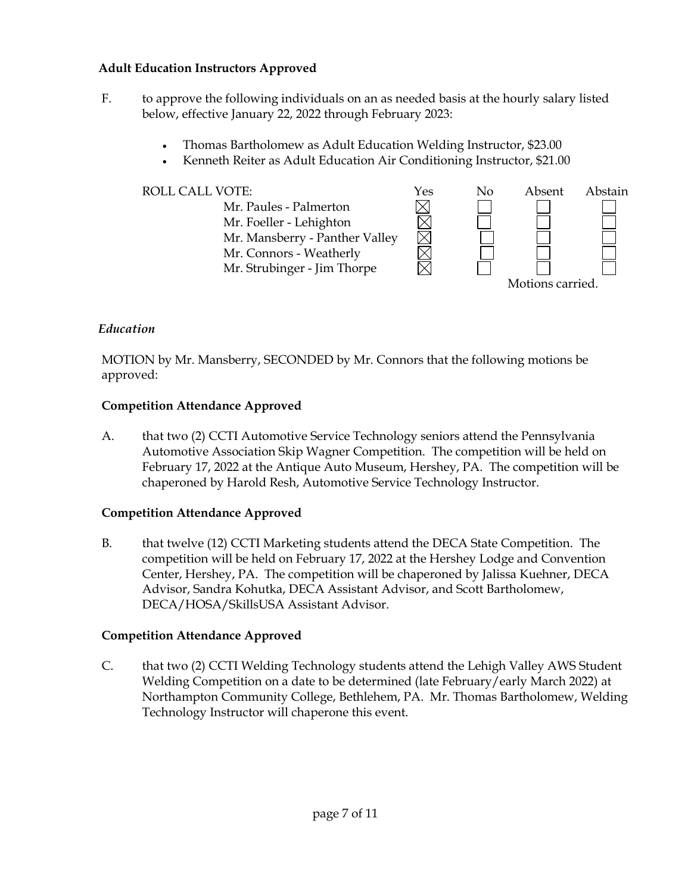# **Adult Education Instructors Approved**

- F. to approve the following individuals on an as needed basis at the hourly salary listed below, effective January 22, 2022 through February 2023:
	- Thomas Bartholomew as Adult Education Welding Instructor, \$23.00
	- Kenneth Reiter as Adult Education Air Conditioning Instructor, \$21.00



# *Education*

MOTION by Mr. Mansberry, SECONDED by Mr. Connors that the following motions be approved:

# **Competition Attendance Approved**

A. that two (2) CCTI Automotive Service Technology seniors attend the Pennsylvania Automotive Association Skip Wagner Competition. The competition will be held on February 17, 2022 at the Antique Auto Museum, Hershey, PA. The competition will be chaperoned by Harold Resh, Automotive Service Technology Instructor.

# **Competition Attendance Approved**

B. that twelve (12) CCTI Marketing students attend the DECA State Competition. The competition will be held on February 17, 2022 at the Hershey Lodge and Convention Center, Hershey, PA. The competition will be chaperoned by Jalissa Kuehner, DECA Advisor, Sandra Kohutka, DECA Assistant Advisor, and Scott Bartholomew, DECA/HOSA/SkillsUSA Assistant Advisor.

# **Competition Attendance Approved**

C. that two (2) CCTI Welding Technology students attend the Lehigh Valley AWS Student Welding Competition on a date to be determined (late February/early March 2022) at Northampton Community College, Bethlehem, PA. Mr. Thomas Bartholomew, Welding Technology Instructor will chaperone this event.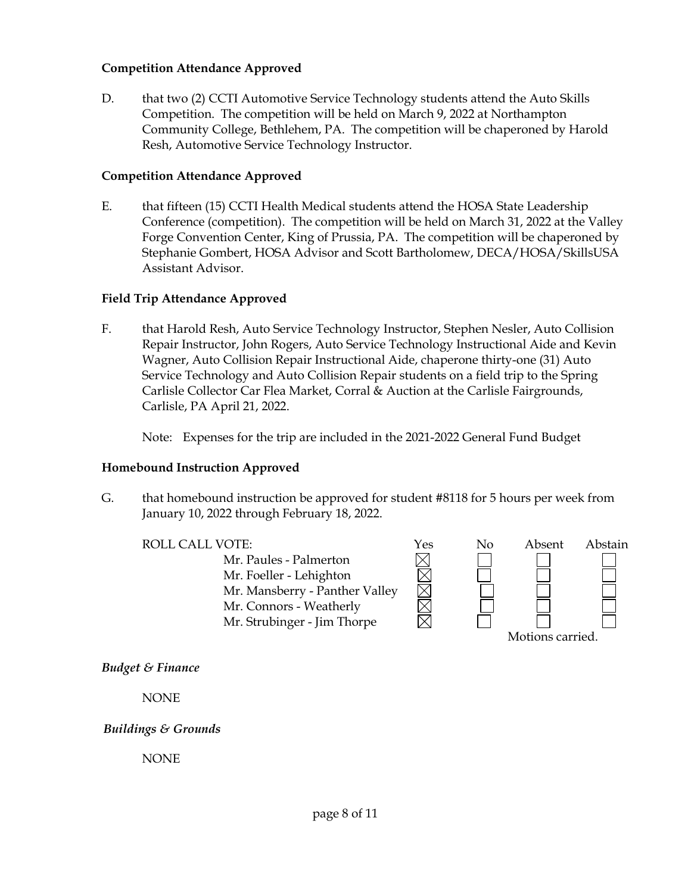### **Competition Attendance Approved**

D. that two (2) CCTI Automotive Service Technology students attend the Auto Skills Competition. The competition will be held on March 9, 2022 at Northampton Community College, Bethlehem, PA. The competition will be chaperoned by Harold Resh, Automotive Service Technology Instructor.

### **Competition Attendance Approved**

E. that fifteen (15) CCTI Health Medical students attend the HOSA State Leadership Conference (competition). The competition will be held on March 31, 2022 at the Valley Forge Convention Center, King of Prussia, PA. The competition will be chaperoned by Stephanie Gombert, HOSA Advisor and Scott Bartholomew, DECA/HOSA/SkillsUSA Assistant Advisor.

### **Field Trip Attendance Approved**

F. that Harold Resh, Auto Service Technology Instructor, Stephen Nesler, Auto Collision Repair Instructor, John Rogers, Auto Service Technology Instructional Aide and Kevin Wagner, Auto Collision Repair Instructional Aide, chaperone thirty-one (31) Auto Service Technology and Auto Collision Repair students on a field trip to the Spring Carlisle Collector Car Flea Market, Corral & Auction at the Carlisle Fairgrounds, Carlisle, PA April 21, 2022.

Note: Expenses for the trip are included in the 2021-2022 General Fund Budget

#### **Homebound Instruction Approved**

G. that homebound instruction be approved for student #8118 for 5 hours per week from January 10, 2022 through February 18, 2022.

ROLL CALL VOTE:<br>
Mr. Paules - Palmerton<br>
Mr. Foeller - Lehighton<br>
Mr. Mansberry - Panther Valley Mr. Paules - Palmerton Mr. Foeller - Lehighton Mr. Mansberry - Panther Valley Mr. Connors - Weatherly Mr. Strubinger - Jim Thorpe



*Budget & Finance*

NONE

*Buildings & Grounds*

NONE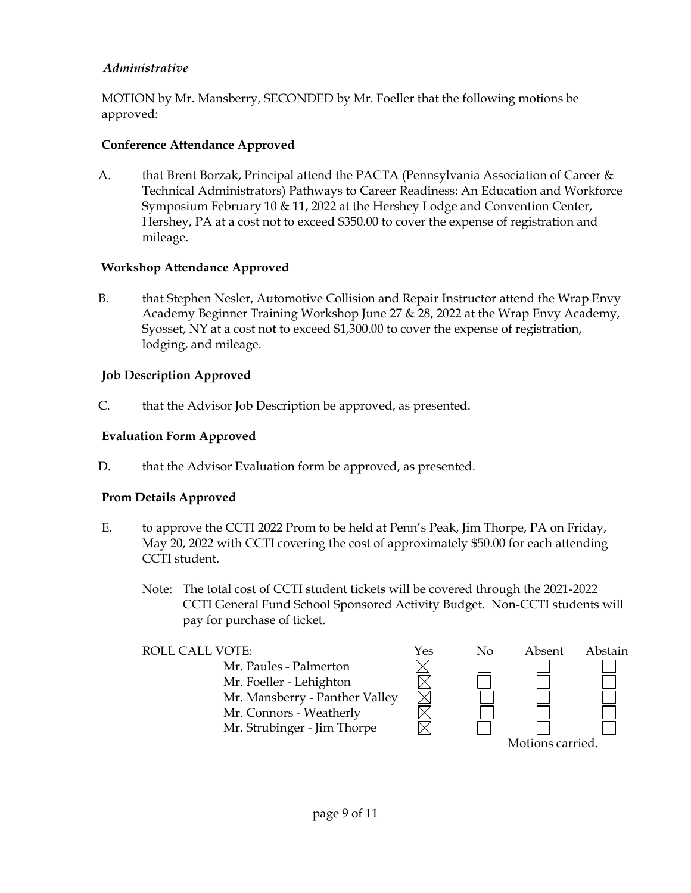# *Administrative*

MOTION by Mr. Mansberry, SECONDED by Mr. Foeller that the following motions be approved:

# **Conference Attendance Approved**

A. that Brent Borzak, Principal attend the PACTA (Pennsylvania Association of Career  $\&$ Technical Administrators) Pathways to Career Readiness: An Education and Workforce Symposium February 10 & 11, 2022 at the Hershey Lodge and Convention Center, Hershey, PA at a cost not to exceed \$350.00 to cover the expense of registration and mileage.

# **Workshop Attendance Approved**

B. that Stephen Nesler, Automotive Collision and Repair Instructor attend the Wrap Envy Academy Beginner Training Workshop June 27 & 28, 2022 at the Wrap Envy Academy, Syosset, NY at a cost not to exceed \$1,300.00 to cover the expense of registration, lodging, and mileage.

# **Job Description Approved**

C. that the Advisor Job Description be approved, as presented.

# **Evaluation Form Approved**

D. that the Advisor Evaluation form be approved, as presented.

# **Prom Details Approved**

- E. to approve the CCTI 2022 Prom to be held at Penn's Peak, Jim Thorpe, PA on Friday, May 20, 2022 with CCTI covering the cost of approximately \$50.00 for each attending CCTI student.
	- Note: The total cost of CCTI student tickets will be covered through the 2021-2022 CCTI General Fund School Sponsored Activity Budget. Non-CCTI students will pay for purchase of ticket.

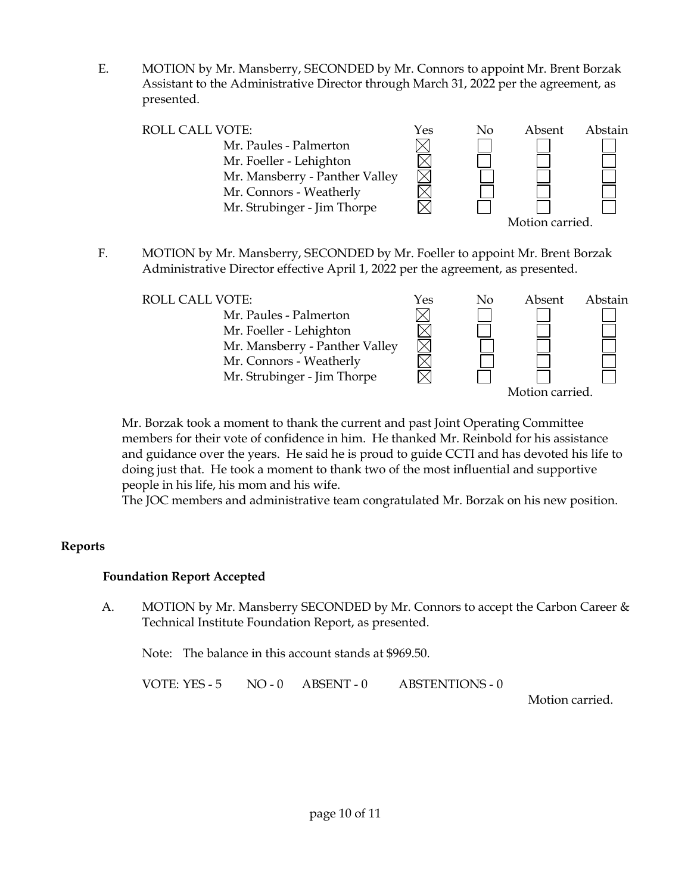E. MOTION by Mr. Mansberry, SECONDED by Mr. Connors to appoint Mr. Brent Borzak Assistant to the Administrative Director through March 31, 2022 per the agreement, as presented.

| <b>ROLL CALL VOTE:</b>         | Yes | No | Absent         | Abstain |
|--------------------------------|-----|----|----------------|---------|
| Mr. Paules - Palmerton         |     |    |                |         |
| Mr. Foeller - Lehighton        |     |    |                |         |
| Mr. Mansberry - Panther Valley |     |    |                |         |
| Mr. Connors - Weatherly        |     |    |                |         |
| Mr. Strubinger - Jim Thorpe    |     |    |                |         |
|                                |     |    | Motion carried |         |

F. MOTION by Mr. Mansberry, SECONDED by Mr. Foeller to appoint Mr. Brent Borzak Administrative Director effective April 1, 2022 per the agreement, as presented.

| <b>ROLL CALL VOTE:</b>         | Yes | No | Absent         | Abstain |
|--------------------------------|-----|----|----------------|---------|
| Mr. Paules - Palmerton         |     |    |                |         |
| Mr. Foeller - Lehighton        |     |    |                |         |
| Mr. Mansberry - Panther Valley |     |    |                |         |
| Mr. Connors - Weatherly        |     |    |                |         |
| Mr. Strubinger - Jim Thorpe    |     |    |                |         |
|                                |     |    | Motion carried |         |

Mr. Borzak took a moment to thank the current and past Joint Operating Committee members for their vote of confidence in him. He thanked Mr. Reinbold for his assistance and guidance over the years. He said he is proud to guide CCTI and has devoted his life to doing just that. He took a moment to thank two of the most influential and supportive people in his life, his mom and his wife.

The JOC members and administrative team congratulated Mr. Borzak on his new position.

#### **Reports**

# **Foundation Report Accepted**

A. MOTION by Mr. Mansberry SECONDED by Mr. Connors to accept the Carbon Career & Technical Institute Foundation Report, as presented.

Note: The balance in this account stands at \$969.50.

VOTE: YES - 5 NO - 0 ABSENT - 0 ABSTENTIONS - 0

Motion carried.